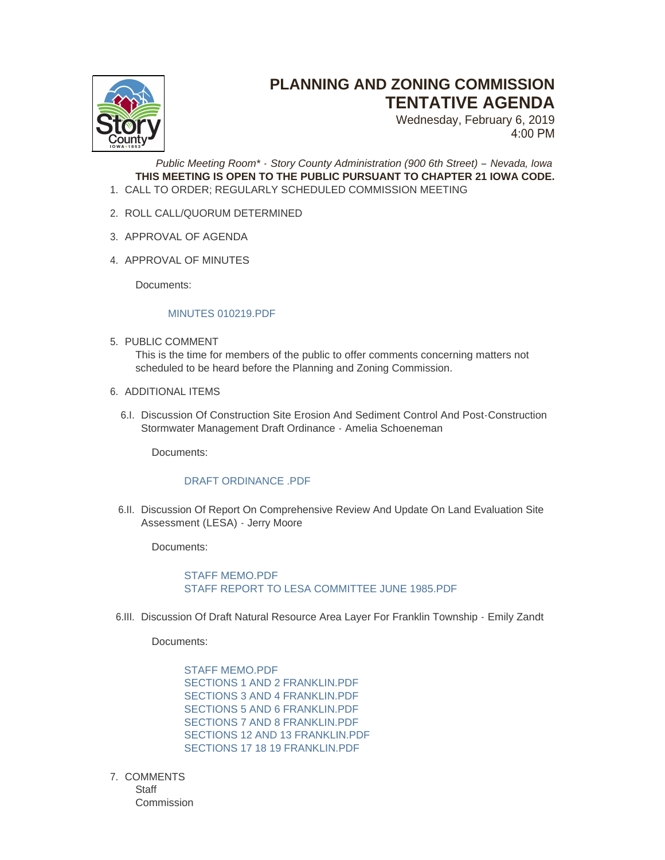

## **PLANNING AND ZONING COMMISSION TENTATIVE AGENDA**

Wednesday, February 6, 2019 4:00 PM

*Public Meeting Room\* - Story County Administration (900 6th Street) – Nevada, Iowa* **THIS MEETING IS OPEN TO THE PUBLIC PURSUANT TO CHAPTER 21 IOWA CODE.** CALL TO ORDER; REGULARLY SCHEDULED COMMISSION MEETING 1.

- 2. ROLL CALL/QUORUM DETERMINED
- 3. APPROVAL OF AGENDA
- 4. APPROVAL OF MINUTES

Documents:

## [MINUTES 010219.PDF](http://www.storycountyiowa.gov/AgendaCenter/ViewFile/Item/13848?fileID=10664)

5. PUBLIC COMMENT This is the time for members of the public to offer comments concerning matters not

scheduled to be heard before the Planning and Zoning Commission.

- 6. ADDITIONAL ITEMS
	- 6.I. Discussion Of Construction Site Erosion And Sediment Control And Post-Construction Stormwater Management Draft Ordinance - Amelia Schoeneman

Documents:

## [DRAFT ORDINANCE .PDF](http://www.storycountyiowa.gov/AgendaCenter/ViewFile/Item/13862?fileID=10656)

6.II. Discussion Of Report On Comprehensive Review And Update On Land Evaluation Site Assessment (LESA) - Jerry Moore

Documents:

[STAFF MEMO.PDF](http://www.storycountyiowa.gov/AgendaCenter/ViewFile/Item/13861?fileID=10654) STAFF REPORT TO LESA COMMITTEE JUNE 1985 PDF

6.III. Discussion Of Draft Natural Resource Area Layer For Franklin Township - Emily Zandt

Documents:

[STAFF MEMO.PDF](http://www.storycountyiowa.gov/AgendaCenter/ViewFile/Item/13863?fileID=10657) [SECTIONS 1 AND 2 FRANKLIN.PDF](http://www.storycountyiowa.gov/AgendaCenter/ViewFile/Item/13863?fileID=10658) [SECTIONS 3 AND 4 FRANKLIN.PDF](http://www.storycountyiowa.gov/AgendaCenter/ViewFile/Item/13863?fileID=10659) [SECTIONS 5 AND 6 FRANKLIN.PDF](http://www.storycountyiowa.gov/AgendaCenter/ViewFile/Item/13863?fileID=10660) [SECTIONS 7 AND 8 FRANKLIN.PDF](http://www.storycountyiowa.gov/AgendaCenter/ViewFile/Item/13863?fileID=10661) [SECTIONS 12 AND 13 FRANKLIN.PDF](http://www.storycountyiowa.gov/AgendaCenter/ViewFile/Item/13863?fileID=10662) [SECTIONS 17 18 19 FRANKLIN.PDF](http://www.storycountyiowa.gov/AgendaCenter/ViewFile/Item/13863?fileID=10663)

7. COMMENTS **Staff Commission**